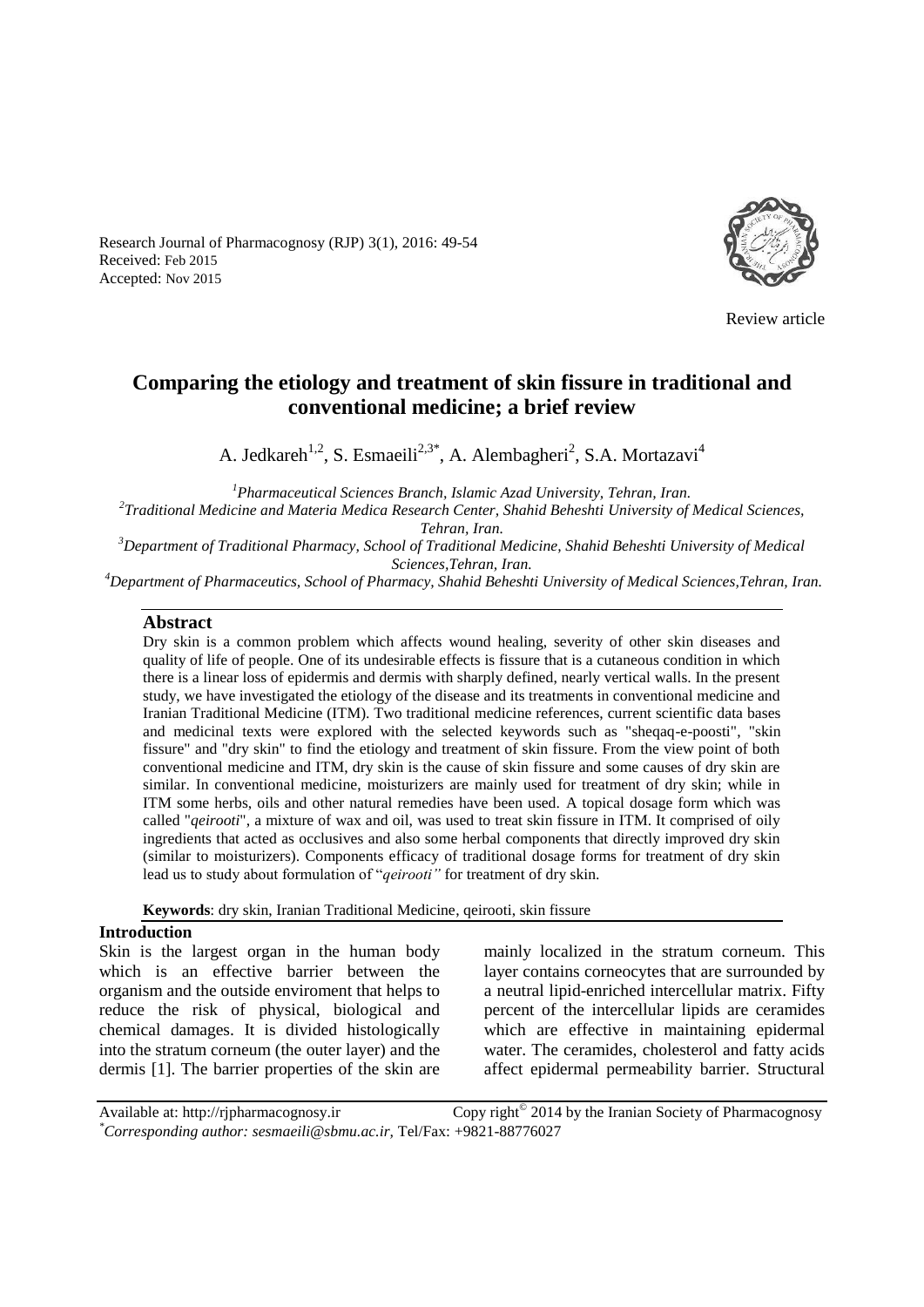Research Journal of Pharmacognosy (RJP) 3(1), 2016: 49-54 Received: Feb 2015 Accepted: Nov 2015



Review article

# **Comparing the etiology and treatment of skin fissure in traditional and conventional medicine; a brief review**

A. Jedkareh<sup>1,2</sup>, S. Esmaeili<sup>2,3\*</sup>, A. Alembagheri<sup>2</sup>, S.A. Mortazavi<sup>4</sup>

*<sup>1</sup>Pharmaceutical Sciences Branch, Islamic Azad University, Tehran, Iran. 2 Traditional Medicine and Materia Medica Research Center, Shahid Beheshti University of Medical Sciences, Tehran, Iran. <sup>3</sup>Department of Traditional Pharmacy, School of Traditional Medicine, Shahid Beheshti University of Medical Sciences,Tehran, Iran.* 

*<sup>4</sup>Department of Pharmaceutics, School of Pharmacy, Shahid Beheshti University of Medical Sciences,Tehran, Iran.* 

#### **Abstract**

Dry skin is a common problem which affects wound healing, severity of other skin diseases and quality of life of people. One of its undesirable effects is fissure that is a cutaneous condition in which there is a linear loss of epidermis and dermis with sharply defined, nearly vertical walls. In the present study, we have investigated the etiology of the disease and its treatments in conventional medicine and Iranian Traditional Medicine (ITM). Two traditional medicine references, current scientific data bases and medicinal texts were explored with the selected keywords such as "sheqaq-e-poosti", "skin fissure" and "dry skin" to find the etiology and treatment of skin fissure. From the view point of both conventional medicine and ITM, dry skin is the cause of skin fissure and some causes of dry skin are similar. In conventional medicine, moisturizers are mainly used for treatment of dry skin; while in ITM some herbs, oils and other natural remedies have been used. A topical dosage form which was called "*qeirooti*", a mixture of wax and oil, was used to treat skin fissure in ITM. It comprised of oily ingredients that acted as occlusives and also some herbal components that directly improved dry skin (similar to moisturizers). Components efficacy of traditional dosage forms for treatment of dry skin lead us to study about formulation of "*qeirooti"* for treatment of dry skin.

**Keywords**: dry skin, Iranian Traditional Medicine, qeirooti, skin fissure

#### **Introduction**

Skin is the largest organ in the human body which is an effective barrier between the organism and the outside enviroment that helps to reduce the risk of physical, biological and chemical damages. It is divided histologically into the stratum corneum (the outer layer) and the dermis [1]. The barrier properties of the skin are mainly localized in the stratum corneum. This layer contains corneocytes that are surrounded by a neutral lipid-enriched intercellular matrix. Fifty percent of the intercellular lipids are ceramides which are effective in maintaining epidermal water. The ceramides, cholesterol and fatty acids affect epidermal permeability barrier. Structural

Available at: http://rjpharmacognosy.ir 2014 by the Iranian Society of Pharmacognosy *\*Corresponding author: sesmaeili@sbmu.ac.ir,* Tel/Fax: +9821-88776027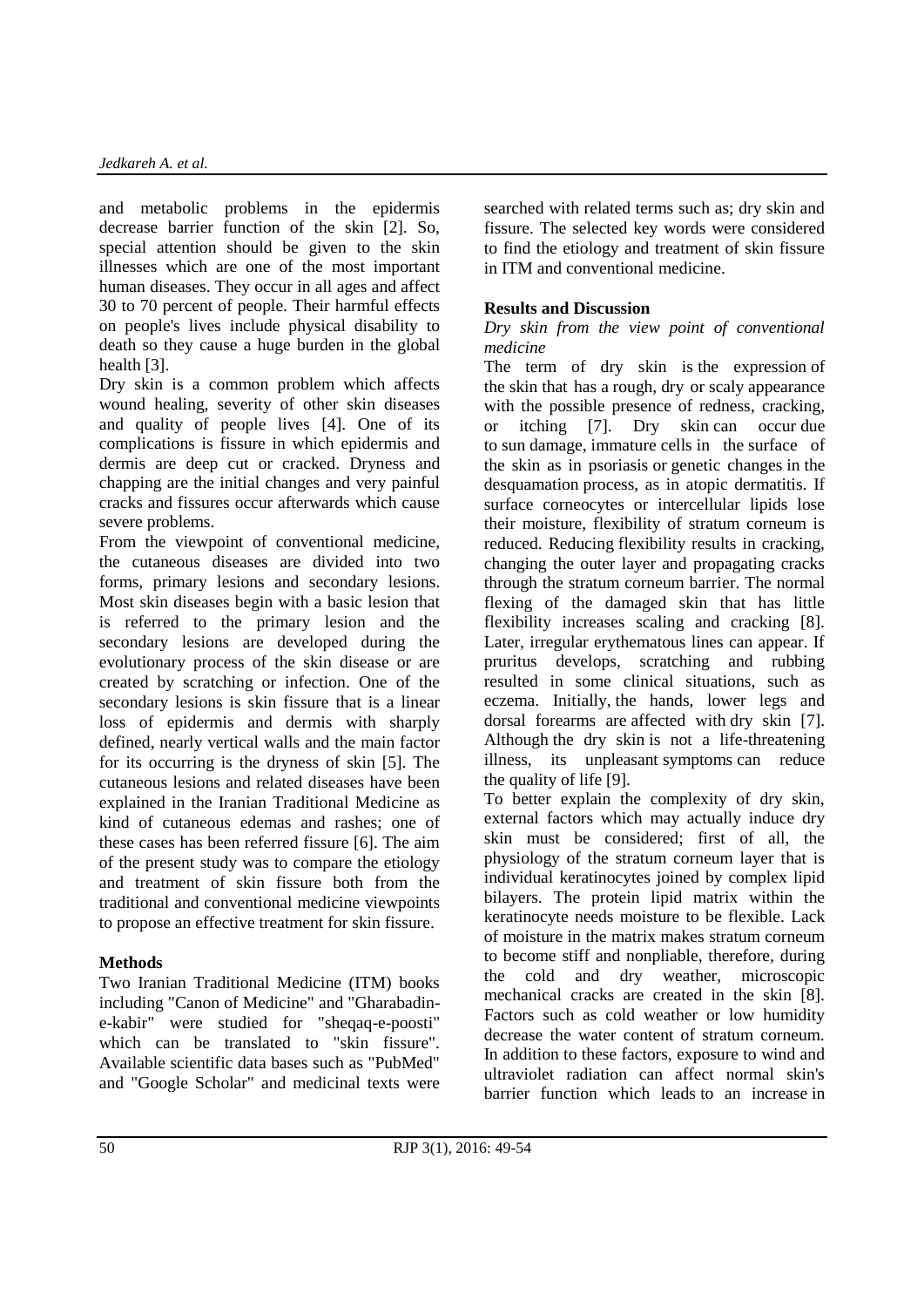and metabolic problems in the epidermis decrease barrier function of the skin [2]. So, special attention should be given to the skin illnesses which are one of the most important human diseases. They occur in all ages and affect 30 to 70 percent of people. Their harmful effects on people's lives include physical disability to death so they cause a huge burden in the global health [3].

Dry skin is a common problem which affects wound healing, severity of other skin diseases and quality of people lives [4]. One of its complications is fissure in which epidermis and dermis are deep cut or cracked. Dryness and chapping are the initial changes and very painful cracks and fissures occur afterwards which cause severe problems.

From the viewpoint of conventional medicine, the cutaneous diseases are divided into two forms, primary lesions and secondary lesions. Most skin diseases begin with a basic lesion that is referred to the primary lesion and the secondary lesions are developed during the evolutionary process of the skin disease or are created by scratching or infection. One of the secondary lesions is skin fissure that is a linear loss of epidermis and dermis with sharply defined, nearly vertical walls and the main factor for its occurring is the dryness of skin [5]. The cutaneous lesions and related diseases have been explained in the Iranian Traditional Medicine as kind of cutaneous edemas and rashes; one of these cases has been referred fissure [6]. The aim of the present study was to compare the etiology and treatment of skin fissure both from the traditional and conventional medicine viewpoints to propose an effective treatment for skin fissure.

## **Methods**

Two Iranian Traditional Medicine (ITM) books including "Canon of Medicine" and "Gharabadine-kabir" were studied for "sheqaq-e-poosti" which can be translated to "skin fissure". Available scientific data bases such as "PubMed" and "Google Scholar" and medicinal texts were searched with related terms such as; dry skin and fissure. The selected key words were considered to find the etiology and treatment of skin fissure in ITM and conventional medicine.

# **Results and Discussion**

#### *Dry skin from the view point of conventional medicine*

The term of dry skin is the expression of the skin that has a rough, dry or scaly appearance with the possible presence of redness, cracking, or itching [7]. Dry skin can occur due to sun damage, immature cells in the surface of the skin as in psoriasis or genetic changes in the desquamation process, as in atopic dermatitis. If surface corneocytes or intercellular lipids lose their moisture, flexibility of stratum corneum is reduced. Reducing flexibility results in cracking, changing the outer layer and propagating cracks through the stratum corneum barrier. The normal flexing of the damaged skin that has little flexibility increases scaling and cracking [8]. Later, irregular erythematous lines can appear. If pruritus develops, scratching and rubbing resulted in some clinical situations, such as eczema. Initially, the hands, lower legs and dorsal forearms are affected with dry skin [7]. Although the dry skin is not a life-threatening illness, its unpleasant symptoms can reduce the quality of life [9].

To better explain the complexity of dry skin, external factors which may actually induce dry skin must be considered; first of all, the physiology of the stratum corneum layer that is individual keratinocytes joined by complex lipid bilayers. The protein lipid matrix within the keratinocyte needs moisture to be flexible. Lack of moisture in the matrix makes stratum corneum to become stiff and nonpliable, therefore, during the cold and dry weather, microscopic mechanical cracks are created in the skin [8]. Factors such as cold weather or low humidity decrease the water content of stratum corneum. In addition to these factors, exposure to wind and ultraviolet radiation can affect normal skin's barrier function which leads to an increase in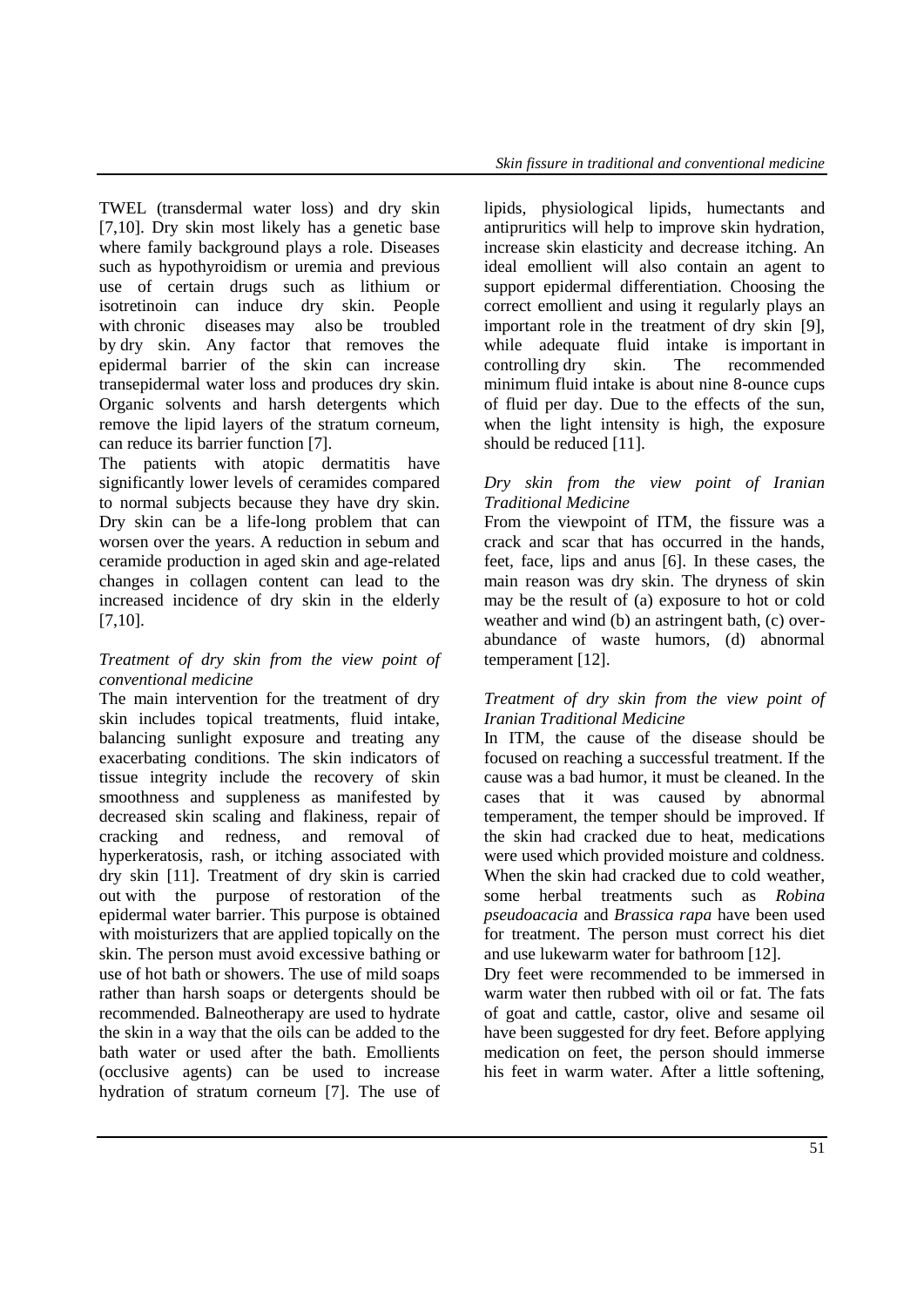TWEL (transdermal water loss) and dry skin [7,10]. Dry skin most likely has a genetic base where family background plays a role. Diseases such as hypothyroidism or uremia and previous use of certain drugs such as lithium or isotretinoin can induce dry skin. People with chronic diseases may also be troubled by dry skin. Any factor that removes the epidermal barrier of the skin can increase transepidermal water loss and produces dry skin. Organic solvents and harsh detergents which remove the lipid layers of the stratum corneum, can reduce its barrier function [7].

The patients with atopic dermatitis have significantly lower levels of ceramides compared to normal subjects because they have dry skin. Dry skin can be a life-long problem that can worsen over the years. A reduction in sebum and ceramide production in aged skin and age-related changes in collagen content can lead to the increased incidence of dry skin in the elderly [7,10].

## *Treatment of dry skin from the view point of conventional medicine*

The main intervention for the treatment of dry skin includes topical treatments, fluid intake, balancing sunlight exposure and treating any exacerbating conditions. The skin indicators of tissue integrity include the recovery of skin smoothness and suppleness as manifested by decreased skin scaling and flakiness, repair of cracking and redness, and removal of hyperkeratosis, rash, or itching associated with dry skin [11]. Treatment of dry skin is carried out with the purpose of restoration of the epidermal water barrier. This purpose is obtained with moisturizers that are applied topically on the skin. The person must avoid excessive bathing or use of hot bath or showers. The use of mild soaps rather than harsh soaps or detergents should be recommended. Balneotherapy are used to hydrate the skin in a way that the oils can be added to the bath water or used after the bath. Emollients (occlusive agents) can be used to increase hydration of stratum corneum [7]. The use of lipids, physiological lipids, humectants and antipruritics will help to improve skin hydration, increase skin elasticity and decrease itching. An ideal emollient will also contain an agent to support epidermal differentiation. Choosing the correct emollient and using it regularly plays an important role in the treatment of dry skin [9], while adequate fluid intake is important in controlling dry skin. The recommended minimum fluid intake is about nine 8-ounce cups of fluid per day. Due to the effects of the sun, when the light intensity is high, the exposure should be reduced [11].

# *Dry skin from the view point of Iranian Traditional Medicine*

From the viewpoint of ITM, the fissure was a crack and scar that has occurred in the hands, feet, face, lips and anus [6]. In these cases, the main reason was dry skin. The dryness of skin may be the result of (a) exposure to hot or cold weather and wind (b) an astringent bath, (c) overabundance of waste humors, (d) abnormal temperament [12].

# *Treatment of dry skin from the view point of Iranian Traditional Medicine*

In ITM, the cause of the disease should be focused on reaching a successful treatment. If the cause was a bad humor, it must be cleaned. In the cases that it was caused by abnormal temperament, the temper should be improved. If the skin had cracked due to heat, medications were used which provided moisture and coldness. When the skin had cracked due to cold weather, some herbal treatments such as *Robina pseudoacacia* and *Brassica rapa* have been used for treatment. The person must correct his diet and use lukewarm water for bathroom [12].

Dry feet were recommended to be immersed in warm water then rubbed with oil or fat. The fats of goat and cattle, castor, olive and sesame oil have been suggested for dry feet. Before applying medication on feet, the person should immerse his feet in warm water. After a little softening,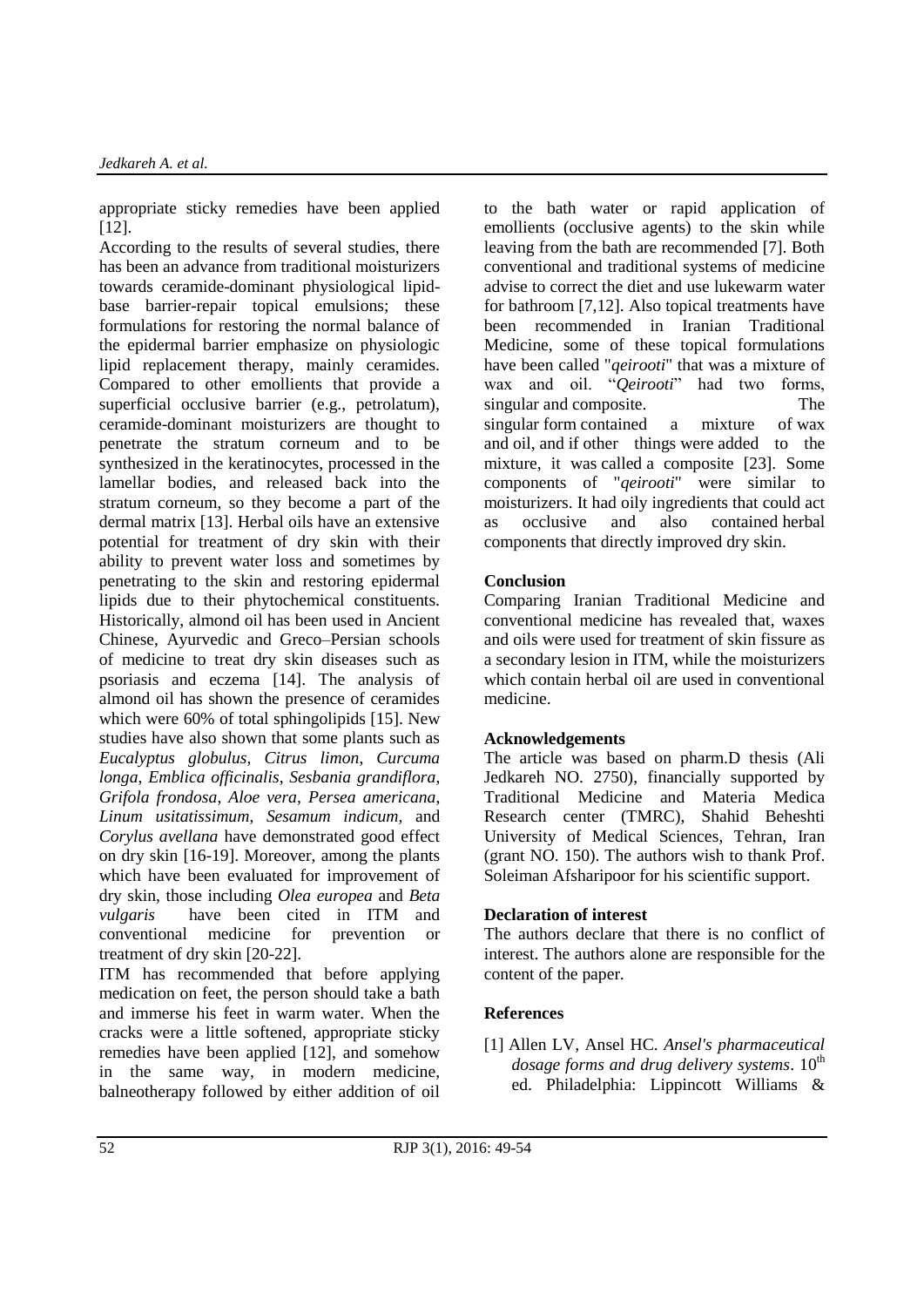appropriate sticky remedies have been applied [12].

According to the results of several studies, there has been an advance from traditional moisturizers towards ceramide-dominant physiological lipidbase barrier-repair topical emulsions; these formulations for restoring the normal balance of the epidermal barrier emphasize on physiologic lipid replacement therapy, mainly ceramides. Compared to other emollients that provide a superficial occlusive barrier (e.g., petrolatum), ceramide-dominant moisturizers are thought to penetrate the stratum corneum and to be synthesized in the keratinocytes, processed in the lamellar bodies, and released back into the stratum corneum, so they become a part of the dermal matrix [13]. Herbal oils have an extensive potential for treatment of dry skin with their ability to prevent water loss and sometimes by penetrating to the skin and restoring epidermal lipids due to their phytochemical constituents. Historically, almond oil has been used in Ancient Chinese, Ayurvedic and Greco–Persian schools of medicine to treat dry skin diseases such as psoriasis and eczema [14]. The analysis of almond oil has shown the presence of ceramides which were 60% of total sphingolipids [15]. New studies have also shown that some plants such as *Eucalyptus globulus*, *Citrus limon*, *Curcuma longa*, *Emblica officinalis*, *Sesbania grandiflora*, *Grifola frondosa*, *Aloe vera*, *Persea americana*, *Linum usitatissimum*, *Sesamum indicum,* and *Corylus avellana* have demonstrated good effect on dry skin [16-19]. Moreover, among the plants which have been evaluated for improvement of dry skin, those including *Olea europea* and *Beta vulgaris* have been cited in ITM and conventional medicine for prevention or treatment of dry skin [20-22].

ITM has recommended that before applying medication on feet, the person should take a bath and immerse his feet in warm water. When the cracks were a little softened, appropriate sticky remedies have been applied [12], and somehow in the same way, in modern medicine, balneotherapy followed by either addition of oil to the bath water or rapid application of emollients (occlusive agents) to the skin while leaving from the bath are recommended [7]. Both conventional and traditional systems of medicine advise to correct the diet and use lukewarm water for bathroom [7,12]. Also topical treatments have been recommended in Iranian Traditional Medicine, some of these topical formulations have been called "*qeirooti*" that was a mixture of wax and oil. "*Qeirooti*" had two forms, singular and composite. The singular form contained a mixture of wax and oil, and if other things were added to the mixture, it was called a composite [23]. Some components of "*qeirooti*" were similar to moisturizers. It had oily ingredients that could act as occlusive and also contained herbal components that directly improved dry skin.

# **Conclusion**

Comparing Iranian Traditional Medicine and conventional medicine has revealed that, waxes and oils were used for treatment of skin fissure as a secondary lesion in ITM, while the moisturizers which contain herbal oil are used in conventional medicine.

## **Acknowledgements**

The article was based on pharm.D thesis (Ali Jedkareh NO. 2750), financially supported by Traditional Medicine and Materia Medica Research center (TMRC), Shahid Beheshti University of Medical Sciences, Tehran, Iran (grant NO. 150). The authors wish to thank Prof. Soleiman Afsharipoor for his scientific support.

## **Declaration of interest**

The authors declare that there is no conflict of interest. The authors alone are responsible for the content of the paper.

## **References**

[1] Allen LV, Ansel HC. *Ansel's pharmaceutical dosage forms and drug delivery systems.* 10<sup>th</sup> ed. Philadelphia: Lippincott Williams &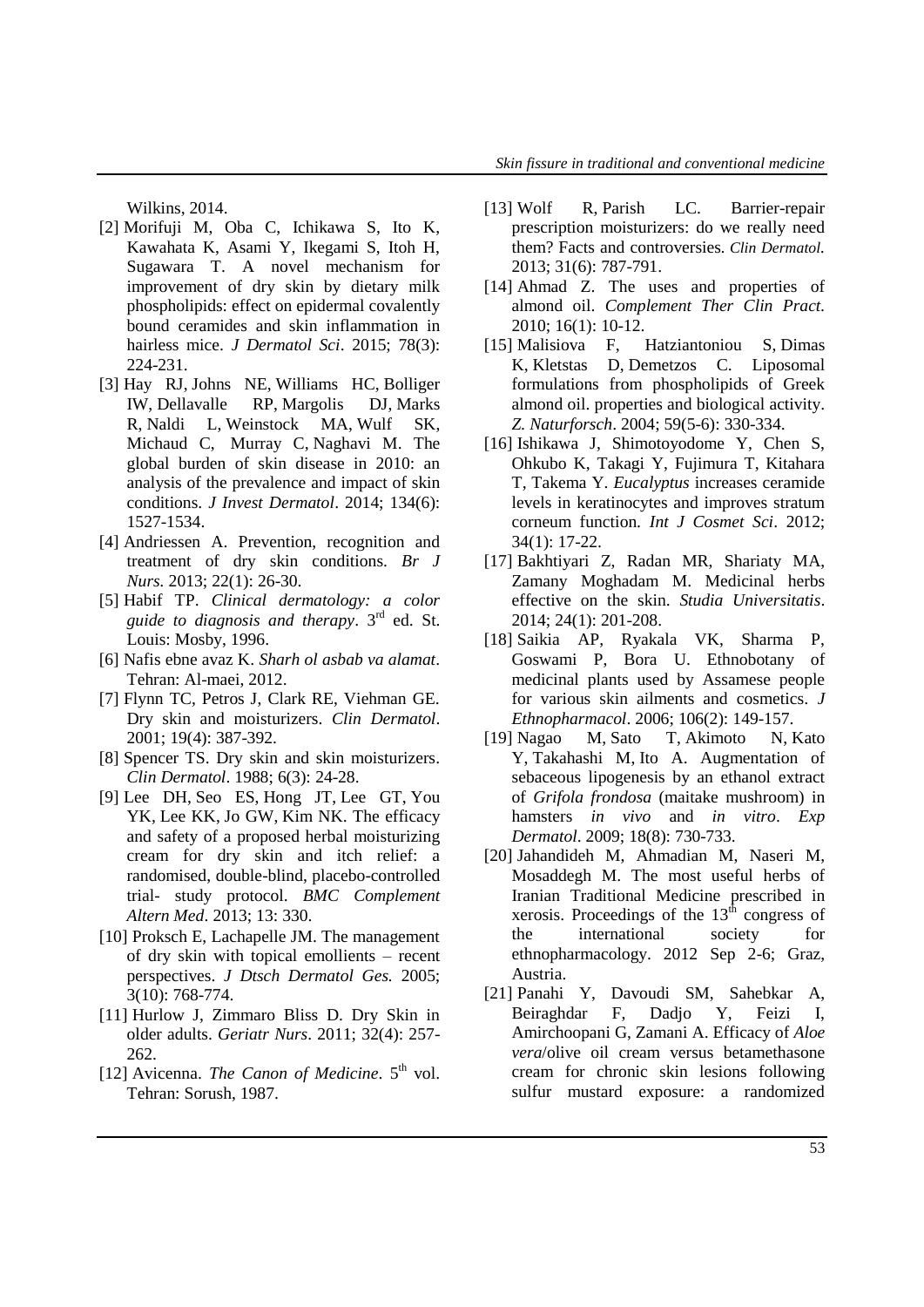Wilkins, 2014.

- [2] Morifuji M, Oba C, Ichikawa S, Ito K, Kawahata K, Asami Y, Ikegami S, Itoh H, Sugawara T. A novel mechanism for improvement of dry skin by dietary milk phospholipids: effect on epidermal covalently bound ceramides and skin inflammation in hairless mice. *J Dermatol Sci*. 2015; 78(3): 224-231.
- [3] [Hay RJ,](http://www.ncbi.nlm.nih.gov/pubmed/?term=Hay%20RJ%5BAuthor%5D&cauthor=true&cauthor_uid=24166134) [Johns NE,](http://www.ncbi.nlm.nih.gov/pubmed/?term=Johns%20NE%5BAuthor%5D&cauthor=true&cauthor_uid=24166134) [Williams HC,](http://www.ncbi.nlm.nih.gov/pubmed/?term=Williams%20HC%5BAuthor%5D&cauthor=true&cauthor_uid=24166134) [Bolliger](http://www.ncbi.nlm.nih.gov/pubmed/?term=Bolliger%20IW%5BAuthor%5D&cauthor=true&cauthor_uid=24166134)  [IW,](http://www.ncbi.nlm.nih.gov/pubmed/?term=Bolliger%20IW%5BAuthor%5D&cauthor=true&cauthor_uid=24166134) [Dellavalle RP,](http://www.ncbi.nlm.nih.gov/pubmed/?term=Dellavalle%20RP%5BAuthor%5D&cauthor=true&cauthor_uid=24166134) [Margolis DJ,](http://www.ncbi.nlm.nih.gov/pubmed/?term=Margolis%20DJ%5BAuthor%5D&cauthor=true&cauthor_uid=24166134) [Marks](http://www.ncbi.nlm.nih.gov/pubmed/?term=Marks%20R%5BAuthor%5D&cauthor=true&cauthor_uid=24166134)  [R,](http://www.ncbi.nlm.nih.gov/pubmed/?term=Marks%20R%5BAuthor%5D&cauthor=true&cauthor_uid=24166134) [Naldi L,](http://www.ncbi.nlm.nih.gov/pubmed/?term=Naldi%20L%5BAuthor%5D&cauthor=true&cauthor_uid=24166134) [Weinstock MA,](http://www.ncbi.nlm.nih.gov/pubmed/?term=Weinstock%20MA%5BAuthor%5D&cauthor=true&cauthor_uid=24166134) [Wulf SK,](http://www.ncbi.nlm.nih.gov/pubmed/?term=Wulf%20SK%5BAuthor%5D&cauthor=true&cauthor_uid=24166134) [Michaud C,](http://www.ncbi.nlm.nih.gov/pubmed/?term=Michaud%20C%5BAuthor%5D&cauthor=true&cauthor_uid=24166134) [Murray C,](http://www.ncbi.nlm.nih.gov/pubmed/?term=J%20L%20Murray%20C%5BAuthor%5D&cauthor=true&cauthor_uid=24166134) [Naghavi M.](http://www.ncbi.nlm.nih.gov/pubmed/?term=Naghavi%20M%5BAuthor%5D&cauthor=true&cauthor_uid=24166134) The global burden of skin disease in 2010: an analysis of the prevalence and impact of skin conditions. *J Invest Dermatol*. 2014; 134(6): 1527-1534.
- [4] [Andriessen A.](http://www.ncbi.nlm.nih.gov/pubmed/?term=Andriessen%20A%5BAuthor%5D&cauthor=true&cauthor_uid=23299208) Prevention, recognition and treatment of dry skin conditions. *[Br J](http://www.ncbi.nlm.nih.gov/pubmed/23299208)  [Nurs.](http://www.ncbi.nlm.nih.gov/pubmed/23299208)* 2013; 22(1): 26-30.
- [5] Habif TP. *Clinical dermatology: a color guide to diagnosis and therapy*. 3rd ed. St. Louis: Mosby, 1996.
- [6] Nafis ebne avaz K. *Sharh ol asbab va alamat*. Tehran: Al-maei, 2012.
- [7] Flynn TC, Petros J, Clark RE, Viehman GE. Dry skin and moisturizers. *Clin Dermatol*. 2001; 19(4): 387-392.
- [8] Spencer TS. Dry skin and skin moisturizers. *Clin Dermatol*. 1988; 6(3): 24-28.
- [9] [Lee DH,](http://www.ncbi.nlm.nih.gov/pubmed/?term=Lee%20DH%5BAuthor%5D&cauthor=true&cauthor_uid=24274317) [Seo ES,](http://www.ncbi.nlm.nih.gov/pubmed/?term=Seo%20ES%5BAuthor%5D&cauthor=true&cauthor_uid=24274317) [Hong JT,](http://www.ncbi.nlm.nih.gov/pubmed/?term=Hong%20JT%5BAuthor%5D&cauthor=true&cauthor_uid=24274317) [Lee GT,](http://www.ncbi.nlm.nih.gov/pubmed/?term=Lee%20GT%5BAuthor%5D&cauthor=true&cauthor_uid=24274317) [You](http://www.ncbi.nlm.nih.gov/pubmed/?term=You%20YK%5BAuthor%5D&cauthor=true&cauthor_uid=24274317)  [YK,](http://www.ncbi.nlm.nih.gov/pubmed/?term=You%20YK%5BAuthor%5D&cauthor=true&cauthor_uid=24274317) [Lee KK,](http://www.ncbi.nlm.nih.gov/pubmed/?term=Lee%20KK%5BAuthor%5D&cauthor=true&cauthor_uid=24274317) [Jo GW,](http://www.ncbi.nlm.nih.gov/pubmed/?term=Jo%20GW%5BAuthor%5D&cauthor=true&cauthor_uid=24274317) [Kim NK.](http://www.ncbi.nlm.nih.gov/pubmed/?term=Kim%20NK%5BAuthor%5D&cauthor=true&cauthor_uid=24274317) The efficacy and safety of a proposed herbal moisturizing cream for dry skin and itch relief: a randomised, double-blind, placebo-controlled trial- study protocol. *BMC Complement Altern Med*. 2013; 13: 330.
- [10] Proksch E, Lachapelle JM. The management of dry skin with topical emollients – recent perspectives. *J Dtsch Dermatol Ges.* 200[5;](http://onlinelibrary.wiley.com/doi/10.1111/ddg.2005.3.issue-10/issuetoc)  [3\(10\):](http://onlinelibrary.wiley.com/doi/10.1111/ddg.2005.3.issue-10/issuetoc) 768-774.
- [11] Hurlow J, Zimmaro Bliss D. Dry Skin in older adults. *Geriatr Nurs*. 2011; 32(4): 257- 262.
- [12] Avicenna. *The Canon of Medicine*. 5<sup>th</sup> vol. Tehran: Sorush, 1987.
- [13] [Wolf R,](http://www.ncbi.nlm.nih.gov/pubmed/?term=Wolf%20R%5BAuthor%5D&cauthor=true&cauthor_uid=24160288) [Parish LC.](http://www.ncbi.nlm.nih.gov/pubmed/?term=Parish%20LC%5BAuthor%5D&cauthor=true&cauthor_uid=24160288) Barrier-repair prescription moisturizers: do we really need them? Facts and controversies*[.](http://www.ncbi.nlm.nih.gov/pubmed/24160288) Clin Dermatol.*  2013; 31(6): 787-791.
- [14] [Ahmad](http://www.sciencedirect.com/science/article/pii/S1744388109000772) Z. The uses and properties of almond oil. *Complement Ther Clin Pract.* 2010; [16\(1\)](http://www.sciencedirect.com/science/journal/17443881/16/1): 10-12.
- [15] [Malisiova F,](http://www.ncbi.nlm.nih.gov/pubmed/?term=Malisiova%20F%5BAuthor%5D&cauthor=true&cauthor_uid=18998396) [Hatziantoniou S,](http://www.ncbi.nlm.nih.gov/pubmed/?term=Hatziantoniou%20S%5BAuthor%5D&cauthor=true&cauthor_uid=18998396) [Dimas](http://www.ncbi.nlm.nih.gov/pubmed/?term=Dimas%20K%5BAuthor%5D&cauthor=true&cauthor_uid=18998396)  [K,](http://www.ncbi.nlm.nih.gov/pubmed/?term=Dimas%20K%5BAuthor%5D&cauthor=true&cauthor_uid=18998396) [Kletstas D,](http://www.ncbi.nlm.nih.gov/pubmed/?term=Kletstas%20D%5BAuthor%5D&cauthor=true&cauthor_uid=18998396) [Demetzos C.](http://www.ncbi.nlm.nih.gov/pubmed/?term=Demetzos%20C%5BAuthor%5D&cauthor=true&cauthor_uid=18998396) Liposomal formulations from phospholipids of Greek almond oil. properties and biological activity. *Z. Naturforsch*. 2004; 59(5-6): 330-334.
- [16] Ishikawa J, Shimotoyodome Y, Chen S, Ohkubo K, Takagi Y, Fujimura T, Kitahara T, Takema Y. *Eucalyptus* increases ceramide levels in keratinocytes and improves stratum corneum function. *[Int J Cosmet Sci](http://www.ncbi.nlm.nih.gov/pubmed/?term=Eucalyptus+increases+ceramide+levels+in+keratinocytes+and+improves+stratum+corneum+function)*. 2012; 34(1): 17-22.
- [17] Bakhtiyari Z, Radan MR, Shariaty MA, Zamany Moghadam M. Medicinal herbs effective on the skin. *Studia Universitatis*. 2014; 24(1): 201-208.
- [18] Saikia AP, Ryakala VK, Sharma P, Goswami P, Bora U. Ethnobotany of medicinal plants used by Assamese people for various skin ailments and cosmetics*. J Ethnopharmacol*. 2006; [106\(2\)](http://www.sciencedirect.com/science/journal/03788741/106/2): 149-157.
- [19] [Nagao M,](http://www.ncbi.nlm.nih.gov/pubmed/?term=Nagao%20M%5BAuthor%5D&cauthor=true&cauthor_uid=19228191) [Sato T,](http://www.ncbi.nlm.nih.gov/pubmed/?term=Sato%20T%5BAuthor%5D&cauthor=true&cauthor_uid=19228191) [Akimoto N,](http://www.ncbi.nlm.nih.gov/pubmed/?term=Akimoto%20N%5BAuthor%5D&cauthor=true&cauthor_uid=19228191) [Kato](http://www.ncbi.nlm.nih.gov/pubmed/?term=Kato%20Y%5BAuthor%5D&cauthor=true&cauthor_uid=19228191)  [Y,](http://www.ncbi.nlm.nih.gov/pubmed/?term=Kato%20Y%5BAuthor%5D&cauthor=true&cauthor_uid=19228191) [Takahashi M,](http://www.ncbi.nlm.nih.gov/pubmed/?term=Takahashi%20M%5BAuthor%5D&cauthor=true&cauthor_uid=19228191) [Ito A.](http://www.ncbi.nlm.nih.gov/pubmed/?term=Ito%20A%5BAuthor%5D&cauthor=true&cauthor_uid=19228191) Augmentation of sebaceous lipogenesis by an ethanol extract of *Grifola frondosa* (maitake mushroom) in hamsters *in vivo* and *in vitro*. *[Exp](http://www.ncbi.nlm.nih.gov/pubmed/19228191)  [Dermatol](http://www.ncbi.nlm.nih.gov/pubmed/19228191)*. 2009; 18(8): 730-733.
- [20] Jahandideh M, Ahmadian M, Naseri M, Mosaddegh M. The most useful herbs of Iranian Traditional Medicine prescribed in xerosis. Proceedings of the  $13<sup>th</sup>$  congress of the international society for ethnopharmacology. 2012 Sep 2-6; Graz, Austria.
- [21] Panahi Y, Davoudi SM, Sahebkar A, Beiraghdar F, Dadjo Y, Feizi I, Amirchoopani G, Zamani A. Efficacy of *Aloe vera*/olive oil cream versus betamethasone cream for chronic skin lesions following sulfur mustard exposure: a randomized